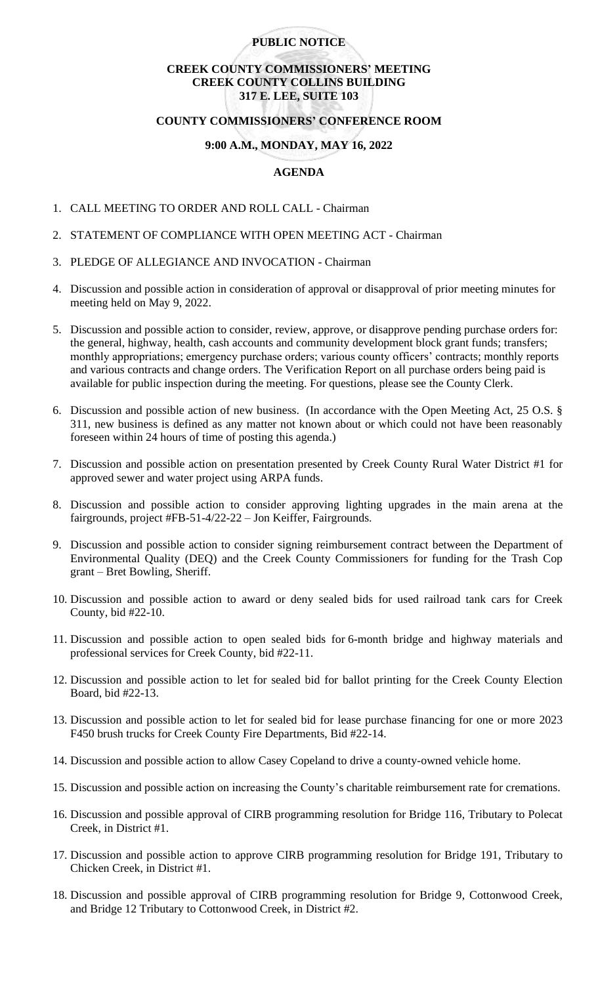# **PUBLIC NOTICE**

# **CREEK COUNTY COMMISSIONERS' MEETING CREEK COUNTY COLLINS BUILDING 317 E. LEE, SUITE 103**

#### **COUNTY COMMISSIONERS' CONFERENCE ROOM**

## **9:00 A.M., MONDAY, MAY 16, 2022**

# **AGENDA**

- 1. CALL MEETING TO ORDER AND ROLL CALL Chairman
- 2. STATEMENT OF COMPLIANCE WITH OPEN MEETING ACT Chairman
- 3. PLEDGE OF ALLEGIANCE AND INVOCATION Chairman
- 4. Discussion and possible action in consideration of approval or disapproval of prior meeting minutes for meeting held on May 9, 2022.
- 5. Discussion and possible action to consider, review, approve, or disapprove pending purchase orders for: the general, highway, health, cash accounts and community development block grant funds; transfers; monthly appropriations; emergency purchase orders; various county officers' contracts; monthly reports and various contracts and change orders. The Verification Report on all purchase orders being paid is available for public inspection during the meeting. For questions, please see the County Clerk.
- 6. Discussion and possible action of new business. (In accordance with the Open Meeting Act, 25 O.S. § 311, new business is defined as any matter not known about or which could not have been reasonably foreseen within 24 hours of time of posting this agenda.)
- 7. Discussion and possible action on presentation presented by Creek County Rural Water District #1 for approved sewer and water project using ARPA funds.
- 8. Discussion and possible action to consider approving lighting upgrades in the main arena at the fairgrounds, project #FB-51-4/22-22 – Jon Keiffer, Fairgrounds.
- 9. Discussion and possible action to consider signing reimbursement contract between the Department of Environmental Quality (DEQ) and the Creek County Commissioners for funding for the Trash Cop grant – Bret Bowling, Sheriff.
- 10. Discussion and possible action to award or deny sealed bids for used railroad tank cars for Creek County, bid #22-10.
- 11. Discussion and possible action to open sealed bids for 6-month bridge and highway materials and professional services for Creek County, bid #22-11.
- 12. Discussion and possible action to let for sealed bid for ballot printing for the Creek County Election Board, bid #22-13.
- 13. Discussion and possible action to let for sealed bid for lease purchase financing for one or more 2023 F450 brush trucks for Creek County Fire Departments, Bid #22-14.
- 14. Discussion and possible action to allow Casey Copeland to drive a county-owned vehicle home.
- 15. Discussion and possible action on increasing the County's charitable reimbursement rate for cremations.
- 16. Discussion and possible approval of CIRB programming resolution for Bridge 116, Tributary to Polecat Creek, in District #1.
- 17. Discussion and possible action to approve CIRB programming resolution for Bridge 191, Tributary to Chicken Creek, in District #1.
- 18. Discussion and possible approval of CIRB programming resolution for Bridge 9, Cottonwood Creek, and Bridge 12 Tributary to Cottonwood Creek, in District #2.